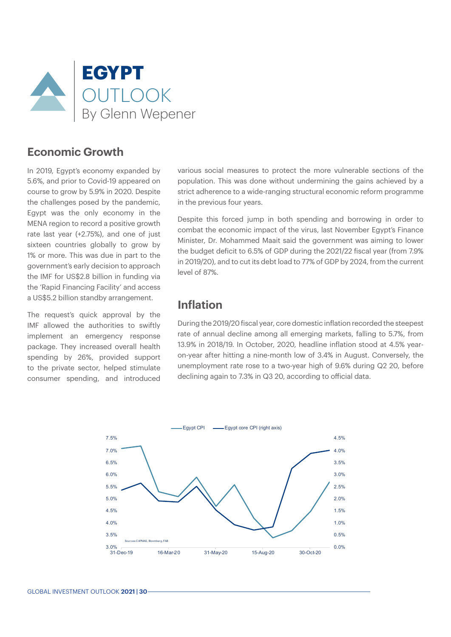

#### **Economic Growth**

In 2019, Egypt's economy expanded by 5.6%, and prior to Covid-19 appeared on course to grow by 5.9% in 2020. Despite the challenges posed by the pandemic, Egypt was the only economy in the MENA region to record a positive growth rate last year (+2.75%), and one of just sixteen countries globally to grow by 1% or more. This was due in part to the government's early decision to approach the IMF for US\$2.8 billion in funding via the 'Rapid Financing Facility' and access a US\$5.2 billion standby arrangement.

The request's quick approval by the IMF allowed the authorities to swiftly implement an emergency response package. They increased overall health spending by 26%, provided support to the private sector, helped stimulate consumer spending, and introduced various social measures to protect the more vulnerable sections of the population. This was done without undermining the gains achieved by a strict adherence to a wide-ranging structural economic reform programme in the previous four years.

Despite this forced jump in both spending and borrowing in order to combat the economic impact of the virus, last November Egypt's Finance Minister, Dr. Mohammed Maait said the government was aiming to lower the budget deficit to 6.5% of GDP during the 2021/22 fiscal year (from 7.9% in 2019/20), and to cut its debt load to 77% of GDP by 2024, from the current level of 87%.

### **Inflation**

During the 2019/20 fiscal year, core domestic inflation recorded the steepest rate of annual decline among all emerging markets, falling to 5.7%, from 13.9% in 2018/19. In October, 2020, headline inflation stood at 4.5% yearon-year after hitting a nine-month low of 3.4% in August. Conversely, the unemployment rate rose to a two-year high of 9.6% during Q2 20, before declining again to 7.3% in Q3 20, according to official data.

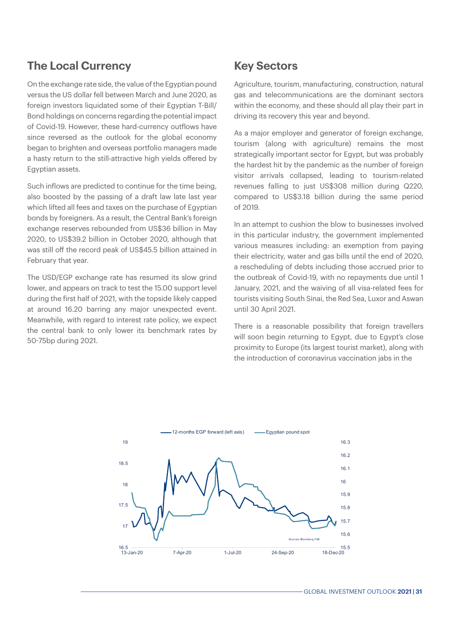## **The Local Currency**

On the exchange rate side, the value of the Egyptian pound versus the US dollar fell between March and June 2020, as foreign investors liquidated some of their Egyptian T-Bill/ Bond holdings on concerns regarding the potential impact of Covid-19. However, these hard-currency outflows have since reversed as the outlook for the global economy began to brighten and overseas portfolio managers made a hasty return to the still-attractive high yields offered by Egyptian assets.

Such inflows are predicted to continue for the time being, also boosted by the passing of a draft law late last year which lifted all fees and taxes on the purchase of Egyptian bonds by foreigners. As a result, the Central Bank's foreign exchange reserves rebounded from US\$36 billion in May 2020, to US\$39.2 billion in October 2020, although that was still off the record peak of US\$45.5 billion attained in February that year.

The USD/EGP exchange rate has resumed its slow grind lower, and appears on track to test the 15.00 support level during the first half of 2021, with the topside likely capped at around 16.20 barring any major unexpected event. Meanwhile, with regard to interest rate policy, we expect the central bank to only lower its benchmark rates by 50-75bp during 2021.

#### **Key Sectors**

Agriculture, tourism, manufacturing, construction, natural gas and telecommunications are the dominant sectors within the economy, and these should all play their part in driving its recovery this year and beyond.

As a major employer and generator of foreign exchange, tourism (along with agriculture) remains the most strategically important sector for Egypt, but was probably the hardest hit by the pandemic as the number of foreign visitor arrivals collapsed, leading to tourism-related revenues falling to just US\$308 million during Q220, compared to US\$3.18 billion during the same period of 2019.

In an attempt to cushion the blow to businesses involved in this particular industry, the government implemented various measures including: an exemption from paying their electricity, water and gas bills until the end of 2020, a rescheduling of debts including those accrued prior to the outbreak of Covid-19, with no repayments due until 1 January, 2021, and the waiving of all visa-related fees for tourists visiting South Sinai, the Red Sea, Luxor and Aswan until 30 April 2021.

There is a reasonable possibility that foreign travellers will soon begin returning to Egypt, due to Egypt's close proximity to Europe (its largest tourist market), along with the introduction of coronavirus vaccination jabs in the

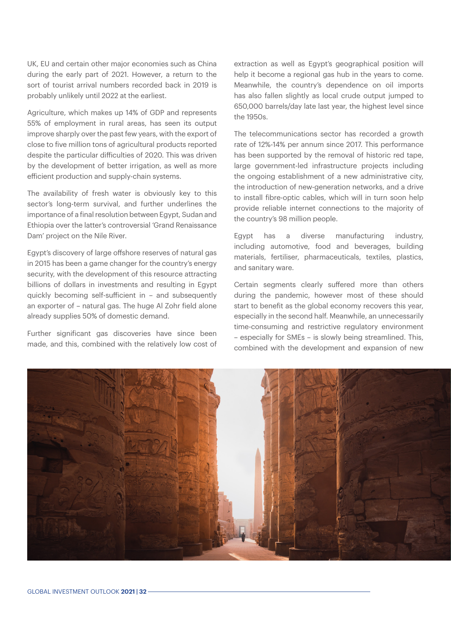UK, EU and certain other major economies such as China during the early part of 2021. However, a return to the sort of tourist arrival numbers recorded back in 2019 is probably unlikely until 2022 at the earliest.

Agriculture, which makes up 14% of GDP and represents 55% of employment in rural areas, has seen its output improve sharply over the past few years, with the export of close to five million tons of agricultural products reported despite the particular difficulties of 2020. This was driven by the development of better irrigation, as well as more efficient production and supply-chain systems.

The availability of fresh water is obviously key to this sector's long-term survival, and further underlines the importance of a final resolution between Egypt, Sudan and Ethiopia over the latter's controversial 'Grand Renaissance Dam' project on the Nile River.

Egypt's discovery of large offshore reserves of natural gas in 2015 has been a game changer for the country's energy security, with the development of this resource attracting billions of dollars in investments and resulting in Egypt quickly becoming self-sufficient in – and subsequently an exporter of – natural gas. The huge Al Zohr field alone already supplies 50% of domestic demand.

Further significant gas discoveries have since been made, and this, combined with the relatively low cost of extraction as well as Egypt's geographical position will help it become a regional gas hub in the years to come. Meanwhile, the country's dependence on oil imports has also fallen slightly as local crude output jumped to 650,000 barrels/day late last year, the highest level since the 1950s.

The telecommunications sector has recorded a growth rate of 12%-14% per annum since 2017. This performance has been supported by the removal of historic red tape, large government-led infrastructure projects including the ongoing establishment of a new administrative city, the introduction of new-generation networks, and a drive to install fibre-optic cables, which will in turn soon help provide reliable internet connections to the majority of the country's 98 million people.

Egypt has a diverse manufacturing industry, including automotive, food and beverages, building materials, fertiliser, pharmaceuticals, textiles, plastics, and sanitary ware.

Certain segments clearly suffered more than others during the pandemic, however most of these should start to benefit as the global economy recovers this year, especially in the second half. Meanwhile, an unnecessarily time-consuming and restrictive regulatory environment – especially for SMEs – is slowly being streamlined. This, combined with the development and expansion of new